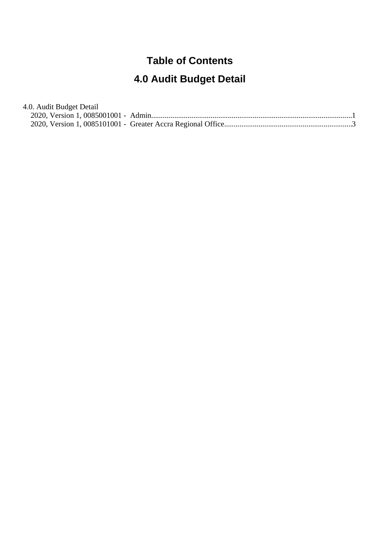# **Table of Contents**

# **4.0 Audit Budget Detail**

| 4.0. Audit Budget Detail |  |
|--------------------------|--|
|                          |  |
|                          |  |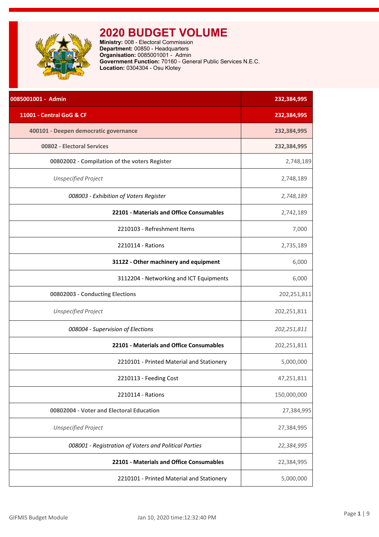<span id="page-1-0"></span>**Ministry:** 008 - Electoral Commission **Department:** 00850 - Headquarters **Organisation:** 0085001001 - Admin **Government Function:** 70160 - General Public Services N.E.C. **Location:** 0304304 - Osu Klotey

| 0085001001 - Admin                                    | 232,384,995 |
|-------------------------------------------------------|-------------|
| 11001 - Central GoG & CF                              | 232,384,995 |
| 400101 - Deepen democratic governance                 | 232,384,995 |
| 00802 - Electoral Services                            | 232,384,995 |
| 00802002 - Compilation of the voters Register         | 2,748,189   |
| <b>Unspecified Project</b>                            | 2,748,189   |
| 008003 - Exhibition of Voters Register                | 2,748,189   |
| 22101 - Materials and Office Consumables              | 2,742,189   |
| 2210103 - Refreshment Items                           | 7,000       |
| 2210114 - Rations                                     | 2,735,189   |
| 31122 - Other machinery and equipment                 | 6,000       |
| 3112204 - Networking and ICT Equipments               | 6,000       |
| 00802003 - Conducting Elections                       | 202,251,811 |
| <b>Unspecified Project</b>                            | 202,251,811 |
| 008004 - Supervision of Elections                     | 202,251,811 |
| 22101 - Materials and Office Consumables              | 202,251,811 |
| 2210101 - Printed Material and Stationery             | 5,000,000   |
| 2210113 - Feeding Cost                                | 47,251,811  |
| 2210114 - Rations                                     | 150,000,000 |
| 00802004 - Voter and Electoral Education              | 27,384,995  |
| <b>Unspecified Project</b>                            | 27,384,995  |
| 008001 - Registration of Voters and Political Parties | 22,384,995  |
| 22101 - Materials and Office Consumables              | 22,384,995  |
| 2210101 - Printed Material and Stationery             | 5,000,000   |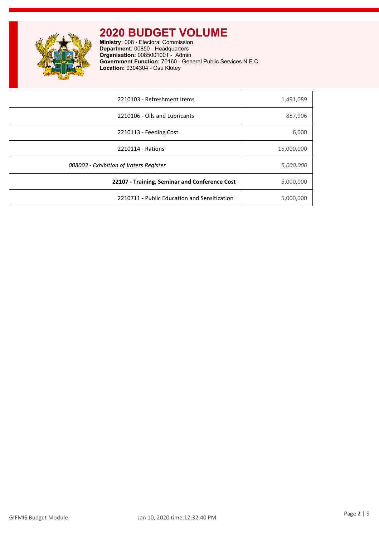

**Ministry:** 008 - Electoral Commission **Department:** 00850 - Headquarters **Organisation:** 0085001001 - Admin **Government Function:** 70160 - General Public Services N.E.C. **Location:** 0304304 - Osu Klotey

| 2210103 - Refreshment Items                   | 1,491,089  |
|-----------------------------------------------|------------|
| 2210106 - Oils and Lubricants                 | 887,906    |
| 2210113 - Feeding Cost                        | 6,000      |
| 2210114 - Rations                             | 15,000,000 |
| 008003 - Exhibition of Voters Register        | 5,000,000  |
| 22107 - Training, Seminar and Conference Cost | 5,000,000  |
| 2210711 - Public Education and Sensitization  | 5,000,000  |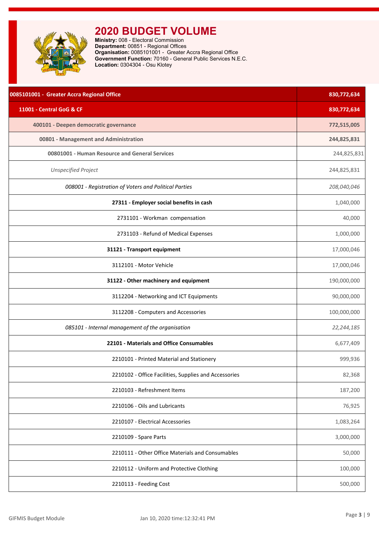<span id="page-3-0"></span>

| 0085101001 - Greater Accra Regional Office            | 830,772,634 |
|-------------------------------------------------------|-------------|
| 11001 - Central GoG & CF                              | 830,772,634 |
| 400101 - Deepen democratic governance                 | 772,515,005 |
| 00801 - Management and Administration                 | 244,825,831 |
| 00801001 - Human Resource and General Services        | 244,825,831 |
| <b>Unspecified Project</b>                            | 244,825,831 |
| 008001 - Registration of Voters and Political Parties | 208,040,046 |
| 27311 - Employer social benefits in cash              | 1,040,000   |
| 2731101 - Workman compensation                        | 40,000      |
| 2731103 - Refund of Medical Expenses                  | 1,000,000   |
| 31121 - Transport equipment                           | 17,000,046  |
| 3112101 - Motor Vehicle                               | 17,000,046  |
| 31122 - Other machinery and equipment                 | 190,000,000 |
| 3112204 - Networking and ICT Equipments               | 90,000,000  |
| 3112208 - Computers and Accessories                   | 100,000,000 |
| 085101 - Internal management of the organisation      | 22,244,185  |
| 22101 - Materials and Office Consumables              | 6,677,409   |
| 2210101 - Printed Material and Stationery             | 999,936     |
| 2210102 - Office Facilities, Supplies and Accessories | 82,368      |
| 2210103 - Refreshment Items                           | 187,200     |
| 2210106 - Oils and Lubricants                         | 76,925      |
| 2210107 - Electrical Accessories                      | 1,083,264   |
| 2210109 - Spare Parts                                 | 3,000,000   |
| 2210111 - Other Office Materials and Consumables      | 50,000      |
| 2210112 - Uniform and Protective Clothing             | 100,000     |
| 2210113 - Feeding Cost                                | 500,000     |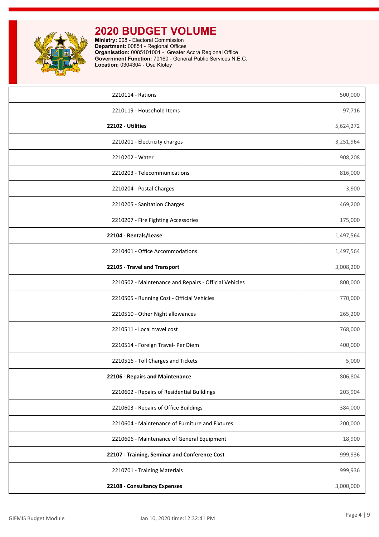

| 2210114 - Rations                                     | 500,000   |
|-------------------------------------------------------|-----------|
| 2210119 - Household Items                             | 97,716    |
| 22102 - Utilities                                     | 5,624,272 |
| 2210201 - Electricity charges                         | 3,251,964 |
| 2210202 - Water                                       | 908,208   |
| 2210203 - Telecommunications                          | 816,000   |
| 2210204 - Postal Charges                              | 3,900     |
| 2210205 - Sanitation Charges                          | 469,200   |
| 2210207 - Fire Fighting Accessories                   | 175,000   |
| 22104 - Rentals/Lease                                 | 1,497,564 |
| 2210401 - Office Accommodations                       | 1,497,564 |
| 22105 - Travel and Transport                          | 3,008,200 |
| 2210502 - Maintenance and Repairs - Official Vehicles | 800,000   |
| 2210505 - Running Cost - Official Vehicles            | 770,000   |
| 2210510 - Other Night allowances                      | 265,200   |
| 2210511 - Local travel cost                           | 768,000   |
| 2210514 - Foreign Travel- Per Diem                    | 400,000   |
| 2210516 - Toll Charges and Tickets                    | 5,000     |
| 22106 - Repairs and Maintenance                       | 806,804   |
| 2210602 - Repairs of Residential Buildings            | 203,904   |
| 2210603 - Repairs of Office Buildings                 | 384,000   |
| 2210604 - Maintenance of Furniture and Fixtures       | 200,000   |
| 2210606 - Maintenance of General Equipment            | 18,900    |
| 22107 - Training, Seminar and Conference Cost         | 999,936   |
| 2210701 - Training Materials                          | 999,936   |
| 22108 - Consultancy Expenses                          | 3,000,000 |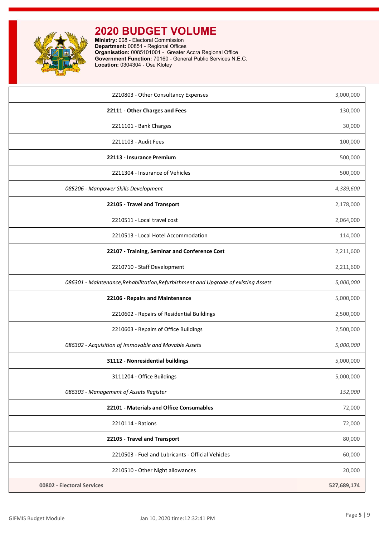| 2210803 - Other Consultancy Expenses                                               | 3,000,000   |
|------------------------------------------------------------------------------------|-------------|
| 22111 - Other Charges and Fees                                                     | 130,000     |
| 2211101 - Bank Charges                                                             | 30,000      |
| 2211103 - Audit Fees                                                               | 100,000     |
| 22113 - Insurance Premium                                                          | 500,000     |
| 2211304 - Insurance of Vehicles                                                    | 500,000     |
| 085206 - Manpower Skills Development                                               | 4,389,600   |
| 22105 - Travel and Transport                                                       | 2,178,000   |
| 2210511 - Local travel cost                                                        | 2,064,000   |
| 2210513 - Local Hotel Accommodation                                                | 114,000     |
| 22107 - Training, Seminar and Conference Cost                                      | 2,211,600   |
| 2210710 - Staff Development                                                        | 2,211,600   |
| 086301 - Maintenance, Rehabilitation, Refurbishment and Upgrade of existing Assets | 5,000,000   |
| 22106 - Repairs and Maintenance                                                    | 5,000,000   |
| 2210602 - Repairs of Residential Buildings                                         | 2,500,000   |
| 2210603 - Repairs of Office Buildings                                              | 2,500,000   |
| 086302 - Acquisition of Immovable and Movable Assets                               | 5,000,000   |
| 31112 - Nonresidential buildings                                                   | 5,000,000   |
| 3111204 - Office Buildings                                                         | 5,000,000   |
| 086303 - Management of Assets Register                                             | 152,000     |
| 22101 - Materials and Office Consumables                                           | 72,000      |
| 2210114 - Rations                                                                  | 72,000      |
| 22105 - Travel and Transport                                                       | 80,000      |
| 2210503 - Fuel and Lubricants - Official Vehicles                                  | 60,000      |
| 2210510 - Other Night allowances                                                   | 20,000      |
| 00802 - Electoral Services                                                         | 527,689,174 |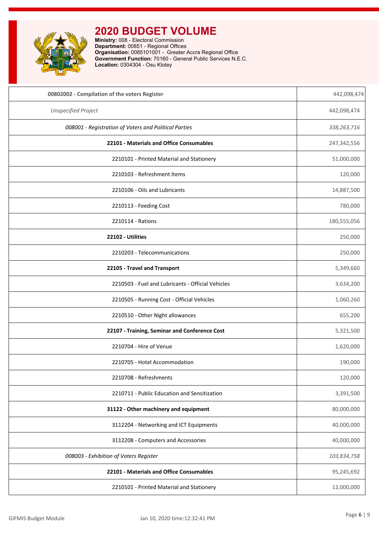

| 00802002 - Compilation of the voters Register         | 442,098,474 |
|-------------------------------------------------------|-------------|
| <b>Unspecified Project</b>                            | 442,098,474 |
| 008001 - Registration of Voters and Political Parties | 338,263,716 |
| 22101 - Materials and Office Consumables              | 247,342,556 |
| 2210101 - Printed Material and Stationery             | 51,000,000  |
| 2210103 - Refreshment Items                           | 120,000     |
| 2210106 - Oils and Lubricants                         | 14,887,500  |
| 2210113 - Feeding Cost                                | 780,000     |
| 2210114 - Rations                                     | 180,555,056 |
| 22102 - Utilities                                     | 250,000     |
| 2210203 - Telecommunications                          | 250,000     |
| 22105 - Travel and Transport                          | 5,349,660   |
| 2210503 - Fuel and Lubricants - Official Vehicles     | 3,634,200   |
| 2210505 - Running Cost - Official Vehicles            | 1,060,260   |
| 2210510 - Other Night allowances                      | 655,200     |
| 22107 - Training, Seminar and Conference Cost         | 5,321,500   |
| 2210704 - Hire of Venue                               | 1,620,000   |
| 2210705 - Hotel Accommodation                         | 190,000     |
| 2210708 - Refreshments                                | 120,000     |
| 2210711 - Public Education and Sensitization          | 3,391,500   |
| 31122 - Other machinery and equipment                 | 80,000,000  |
| 3112204 - Networking and ICT Equipments               | 40,000,000  |
| 3112208 - Computers and Accessories                   | 40,000,000  |
| 008003 - Exhibition of Voters Register                | 103,834,758 |
| 22101 - Materials and Office Consumables              | 95,245,692  |
| 2210101 - Printed Material and Stationery             | 12,000,000  |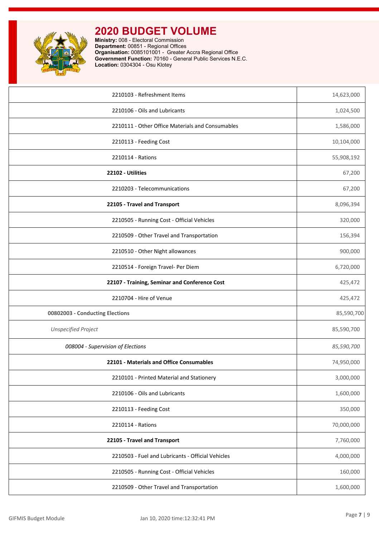

| 2210103 - Refreshment Items                       | 14,623,000 |
|---------------------------------------------------|------------|
| 2210106 - Oils and Lubricants                     | 1,024,500  |
| 2210111 - Other Office Materials and Consumables  | 1,586,000  |
| 2210113 - Feeding Cost                            | 10,104,000 |
| 2210114 - Rations                                 | 55,908,192 |
| 22102 - Utilities                                 | 67,200     |
| 2210203 - Telecommunications                      | 67,200     |
| 22105 - Travel and Transport                      | 8,096,394  |
| 2210505 - Running Cost - Official Vehicles        | 320,000    |
| 2210509 - Other Travel and Transportation         | 156,394    |
| 2210510 - Other Night allowances                  | 900,000    |
| 2210514 - Foreign Travel- Per Diem                | 6,720,000  |
| 22107 - Training, Seminar and Conference Cost     | 425,472    |
| 2210704 - Hire of Venue                           | 425,472    |
| 00802003 - Conducting Elections                   | 85,590,700 |
| <b>Unspecified Project</b>                        | 85,590,700 |
| 008004 - Supervision of Elections                 | 85,590,700 |
| 22101 - Materials and Office Consumables          | 74,950,000 |
| 2210101 - Printed Material and Stationery         | 3,000,000  |
| 2210106 - Oils and Lubricants                     | 1,600,000  |
| 2210113 - Feeding Cost                            | 350,000    |
| 2210114 - Rations                                 | 70,000,000 |
| 22105 - Travel and Transport                      | 7,760,000  |
| 2210503 - Fuel and Lubricants - Official Vehicles | 4,000,000  |
| 2210505 - Running Cost - Official Vehicles        | 160,000    |
| 2210509 - Other Travel and Transportation         | 1,600,000  |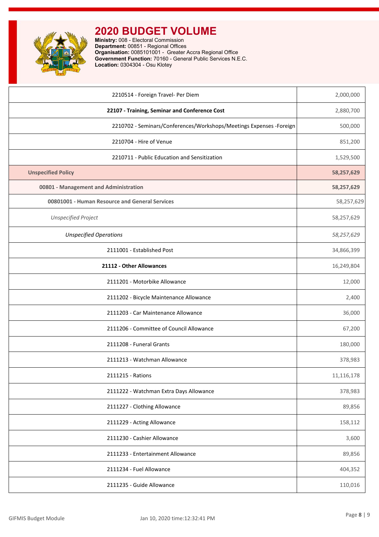

| 2210514 - Foreign Travel- Per Diem                                   | 2,000,000  |
|----------------------------------------------------------------------|------------|
| 22107 - Training, Seminar and Conference Cost                        | 2,880,700  |
| 2210702 - Seminars/Conferences/Workshops/Meetings Expenses - Foreign | 500,000    |
| 2210704 - Hire of Venue                                              | 851,200    |
| 2210711 - Public Education and Sensitization                         | 1,529,500  |
| <b>Unspecified Policy</b>                                            | 58,257,629 |
| 00801 - Management and Administration                                | 58,257,629 |
| 00801001 - Human Resource and General Services                       | 58,257,629 |
| <b>Unspecified Project</b>                                           | 58,257,629 |
| <b>Unspecified Operations</b>                                        | 58,257,629 |
| 2111001 - Established Post                                           | 34,866,399 |
| 21112 - Other Allowances                                             | 16,249,804 |
| 2111201 - Motorbike Allowance                                        | 12,000     |
| 2111202 - Bicycle Maintenance Allowance                              | 2,400      |
| 2111203 - Car Maintenance Allowance                                  | 36,000     |
| 2111206 - Committee of Council Allowance                             | 67,200     |
| 2111208 - Funeral Grants                                             | 180,000    |
| 2111213 - Watchman Allowance                                         | 378,983    |
| 2111215 - Rations                                                    | 11,116,178 |
| 2111222 - Watchman Extra Days Allowance                              | 378,983    |
| 2111227 - Clothing Allowance                                         | 89,856     |
| 2111229 - Acting Allowance                                           | 158,112    |
| 2111230 - Cashier Allowance                                          | 3,600      |
| 2111233 - Entertainment Allowance                                    | 89,856     |
| 2111234 - Fuel Allowance                                             | 404,352    |
| 2111235 - Guide Allowance                                            | 110,016    |